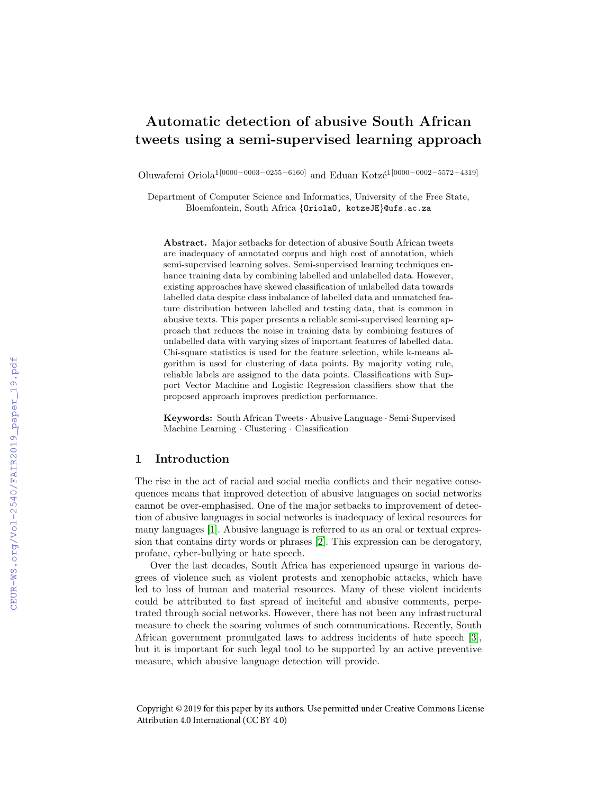# Automatic detection of abusive South African tweets using a semi-supervised learning approach

Oluwafemi Oriola<sup>1[0000–0003–0255–6160]</sup> and Eduan Kotzé<sup>1[0000–0002–5572–4319]</sup>

Department of Computer Science and Informatics, University of the Free State, Bloemfontein, South Africa {OriolaO, kotzeJE}@ufs.ac.za

Abstract. Major setbacks for detection of abusive South African tweets are inadequacy of annotated corpus and high cost of annotation, which semi-supervised learning solves. Semi-supervised learning techniques enhance training data by combining labelled and unlabelled data. However, existing approaches have skewed classification of unlabelled data towards labelled data despite class imbalance of labelled data and unmatched feature distribution between labelled and testing data, that is common in abusive texts. This paper presents a reliable semi-supervised learning approach that reduces the noise in training data by combining features of unlabelled data with varying sizes of important features of labelled data. Chi-square statistics is used for the feature selection, while k-means algorithm is used for clustering of data points. By majority voting rule, reliable labels are assigned to the data points. Classifications with Support Vector Machine and Logistic Regression classifiers show that the proposed approach improves prediction performance.

Keywords: South African Tweets · Abusive Language · Semi-Supervised Machine Learning · Clustering · Classification

# 1 Introduction

The rise in the act of racial and social media conflicts and their negative consequences means that improved detection of abusive languages on social networks cannot be over-emphasised. One of the major setbacks to improvement of detection of abusive languages in social networks is inadequacy of lexical resources for many languages  $\boxed{1}$ . Abusive language is referred to as an oral or textual expression that contains dirty words or phrases  $[2]$ . This expression can be derogatory, profane, cyber-bullying or hate speech.

Over the last decades, South Africa has experienced upsurge in various degrees of violence such as violent protests and xenophobic attacks, which have led to loss of human and material resources. Many of these violent incidents could be attributed to fast spread of inciteful and abusive comments, perpetrated through social networks. However, there has not been any infrastructural measure to check the soaring volumes of such communications. Recently, South African government promulgated laws to address incidents of hate speech  $\overline{3}$ , but it is important for such legal tool to be supported by an active preventive measure, which abusive language detection will provide.

Copyright © 2019 for this paper by its authors. Use permitted under Creative Commons License Attribution 4.0 International (CC BY 4.0)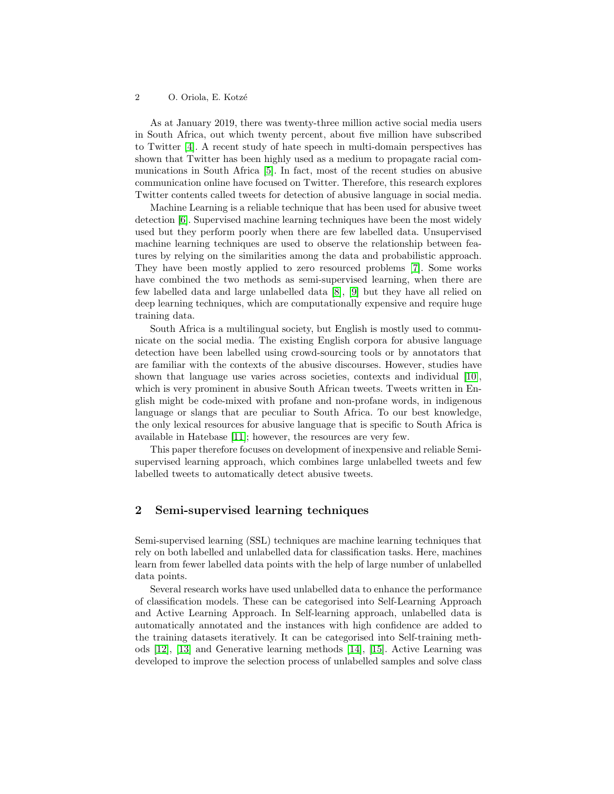As at January 2019, there was twenty-three million active social media users in South Africa, out which twenty percent, about five million have subscribed to Twitter  $\boxed{4}$ . A recent study of hate speech in multi-domain perspectives has shown that Twitter has been highly used as a medium to propagate racial communications in South Africa [5]. In fact, most of the recent studies on abusive communication online have focused on Twitter. Therefore, this research explores Twitter contents called tweets for detection of abusive language in social media.

Machine Learning is a reliable technique that has been used for abusive tweet detection **6**. Supervised machine learning techniques have been the most widely used but they perform poorly when there are few labelled data. Unsupervised machine learning techniques are used to observe the relationship between features by relying on the similarities among the data and probabilistic approach. They have been mostly applied to zero resourced problems [7]. Some works have combined the two methods as semi-supervised learning, when there are few labelled data and large unlabelled data  $\boxed{8}$ ,  $\boxed{9}$  but they have all relied on deep learning techniques, which are computationally expensive and require huge training data.

South Africa is a multilingual society, but English is mostly used to communicate on the social media. The existing English corpora for abusive language detection have been labelled using crowd-sourcing tools or by annotators that are familiar with the contexts of the abusive discourses. However, studies have shown that language use varies across societies, contexts and individual  $[10]$ , which is very prominent in abusive South African tweets. Tweets written in English might be code-mixed with profane and non-profane words, in indigenous language or slangs that are peculiar to South Africa. To our best knowledge, the only lexical resources for abusive language that is specific to South Africa is available in Hatebase  $[11]$ ; however, the resources are very few.

This paper therefore focuses on development of inexpensive and reliable Semisupervised learning approach, which combines large unlabelled tweets and few labelled tweets to automatically detect abusive tweets.

# 2 Semi-supervised learning techniques

Semi-supervised learning (SSL) techniques are machine learning techniques that rely on both labelled and unlabelled data for classification tasks. Here, machines learn from fewer labelled data points with the help of large number of unlabelled data points.

Several research works have used unlabelled data to enhance the performance of classification models. These can be categorised into Self-Learning Approach and Active Learning Approach. In Self-learning approach, unlabelled data is automatically annotated and the instances with high confidence are added to the training datasets iteratively. It can be categorised into Self-training methods [12], [13] and Generative learning methods [14], [15]. Active Learning was developed to improve the selection process of unlabelled samples and solve class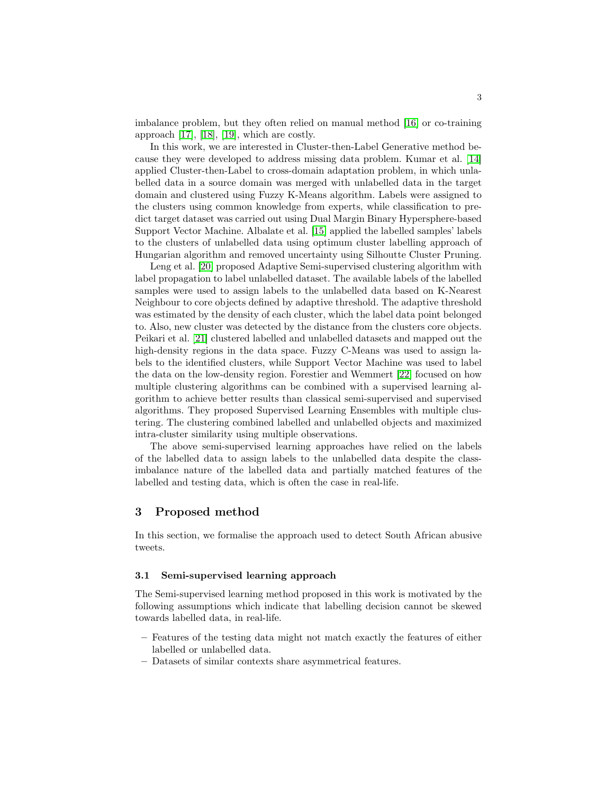imbalance problem, but they often relied on manual method [16] or co-training approach  $[17]$ ,  $[18]$ ,  $[19]$ , which are costly.

In this work, we are interested in Cluster-then-Label Generative method because they were developed to address missing data problem. Kumar et al. [14] applied Cluster-then-Label to cross-domain adaptation problem, in which unlabelled data in a source domain was merged with unlabelled data in the target domain and clustered using Fuzzy K-Means algorithm. Labels were assigned to the clusters using common knowledge from experts, while classification to predict target dataset was carried out using Dual Margin Binary Hypersphere-based Support Vector Machine. Albalate et al. [15] applied the labelled samples' labels to the clusters of unlabelled data using optimum cluster labelling approach of Hungarian algorithm and removed uncertainty using Silhoutte Cluster Pruning.

Leng et al. **[20]** proposed Adaptive Semi-supervised clustering algorithm with label propagation to label unlabelled dataset. The available labels of the labelled samples were used to assign labels to the unlabelled data based on K-Nearest Neighbour to core objects defined by adaptive threshold. The adaptive threshold was estimated by the density of each cluster, which the label data point belonged to. Also, new cluster was detected by the distance from the clusters core objects. Peikari et al. [21] clustered labelled and unlabelled datasets and mapped out the high-density regions in the data space. Fuzzy C-Means was used to assign labels to the identified clusters, while Support Vector Machine was used to label the data on the low-density region. Forestier and Wemmert [22] focused on how multiple clustering algorithms can be combined with a supervised learning algorithm to achieve better results than classical semi-supervised and supervised algorithms. They proposed Supervised Learning Ensembles with multiple clustering. The clustering combined labelled and unlabelled objects and maximized intra-cluster similarity using multiple observations.

The above semi-supervised learning approaches have relied on the labels of the labelled data to assign labels to the unlabelled data despite the classimbalance nature of the labelled data and partially matched features of the labelled and testing data, which is often the case in real-life.

# 3 Proposed method

In this section, we formalise the approach used to detect South African abusive tweets.

#### 3.1 Semi-supervised learning approach

The Semi-supervised learning method proposed in this work is motivated by the following assumptions which indicate that labelling decision cannot be skewed towards labelled data, in real-life.

- Features of the testing data might not match exactly the features of either labelled or unlabelled data.
- Datasets of similar contexts share asymmetrical features.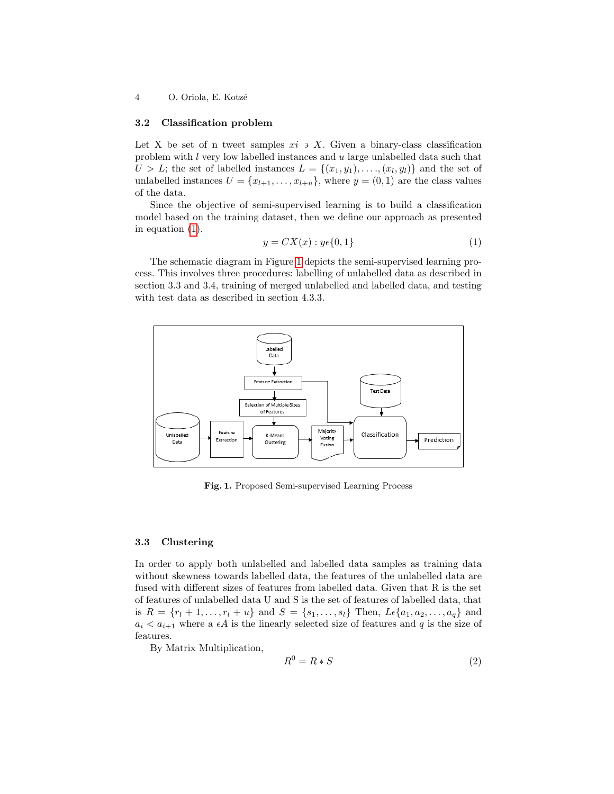### 3.2 Classification problem

Let X be set of n tweet samples  $xi \rightarrow X$ . Given a binary-class classification problem with l very low labelled instances and u large unlabelled data such that  $U > L$ ; the set of labelled instances  $L = \{(x_1, y_1), \ldots, (x_l, y_l)\}\$ and the set of unlabelled instances  $U = \{x_{l+1}, \ldots, x_{l+u}\},\$  where  $y = (0, 1)$  are the class values of the data.

Since the objective of semi-supervised learning is to build a classification model based on the training dataset, then we define our approach as presented in equation (1).

$$
y = CX(x) : y \in \{0, 1\}
$$
\n<sup>(1)</sup>

The schematic diagram in Figure  $\prod$  depicts the semi-supervised learning process. This involves three procedures: labelling of unlabelled data as described in section 3.3 and 3.4, training of merged unlabelled and labelled data, and testing with test data as described in section 4.3.3.



Fig. 1. Proposed Semi-supervised Learning Process

## 3.3 Clustering

In order to apply both unlabelled and labelled data samples as training data without skewness towards labelled data, the features of the unlabelled data are fused with different sizes of features from labelled data. Given that R is the set of features of unlabelled data U and S is the set of features of labelled data, that is  $R = \{r_1 + 1, \ldots, r_l + u\}$  and  $S = \{s_1, \ldots, s_l\}$  Then,  $L \in \{a_1, a_2, \ldots, a_q\}$  and  $a_i < a_{i+1}$  where a  $\epsilon A$  is the linearly selected size of features and q is the size of features.

By Matrix Multiplication,

$$
R^0 = R * S \tag{2}
$$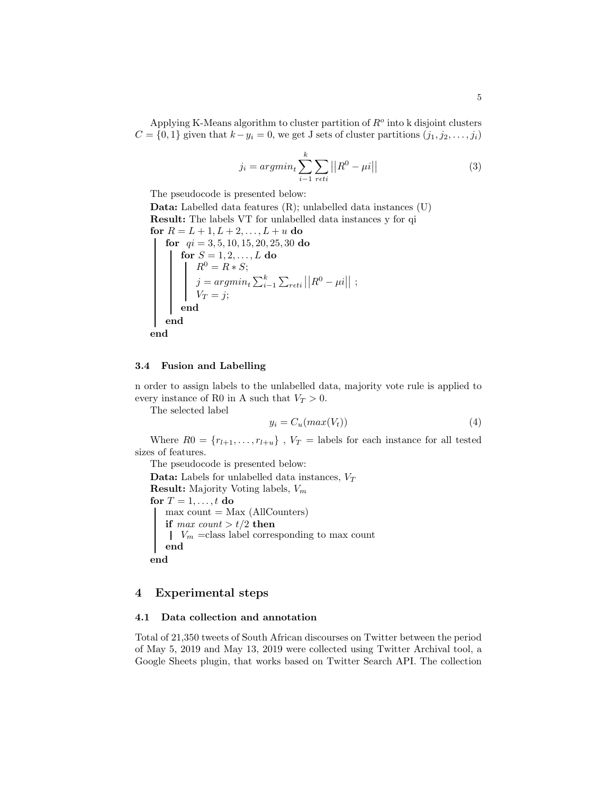Applying K-Means algorithm to cluster partition of  $R<sup>o</sup>$  into k disjoint clusters  $C = \{0, 1\}$  given that  $k - y_i = 0$ , we get J sets of cluster partitions  $(j_1, j_2, \ldots, j_i)$ 

$$
j_i = argmin_t \sum_{i=1}^{k} \sum_{r \in ti} ||R^0 - \mu i|| \qquad (3)
$$

The pseudocode is presented below:

Data: Labelled data features (R); unlabelled data instances (U) Result: The labels VT for unlabelled data instances y for qi for  $R = L + 1, L + 2, ..., L + u$  do for  $qi = 3, 5, 10, 15, 20, 25, 30$  do for  $S=1,2,\ldots,L$  do  $R^0 = R * S;$  $j = argmin_t \sum_{i=1}^k \sum_{r \in ti} ||R^0 - \mu i||$ ;  $V_T = j;$ end end end

## 3.4 Fusion and Labelling

n order to assign labels to the unlabelled data, majority vote rule is applied to every instance of R0 in A such that  $V_T > 0$ .

The selected label

$$
y_i = C_u(max(V_t))\tag{4}
$$

Where  $R0 = \{r_{l+1}, \ldots, r_{l+u}\}\;$ ,  $V_T$  = labels for each instance for all tested sizes of features.

The pseudocode is presented below:

**Data:** Labels for unlabelled data instances,  $V_T$ **Result:** Majority Voting labels,  $V_m$ for  $T = 1, \ldots, t$  do  $max count = Max (AllCounters)$ if max count  $> t/2$  then  $\mid V_m$  =class label corresponding to max count end end

# 4 Experimental steps

# 4.1 Data collection and annotation

Total of 21,350 tweets of South African discourses on Twitter between the period of May 5, 2019 and May 13, 2019 were collected using Twitter Archival tool, a Google Sheets plugin, that works based on Twitter Search API. The collection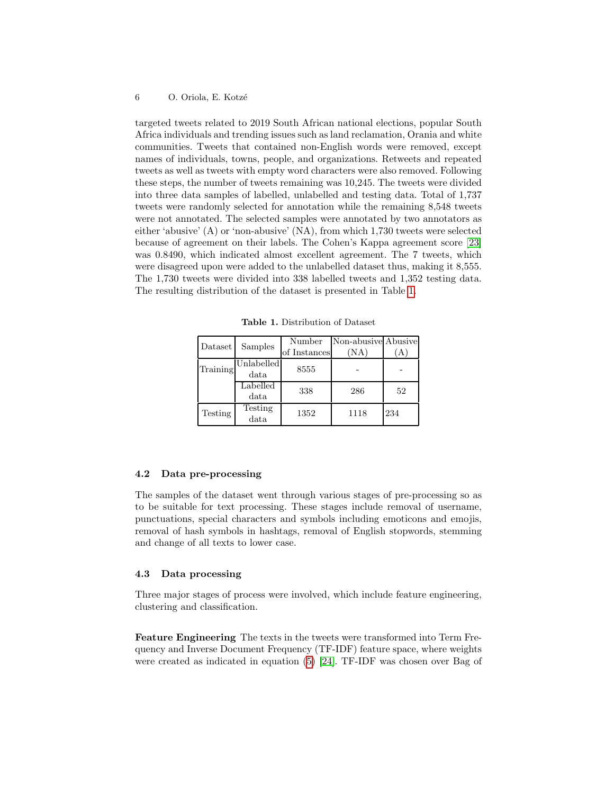targeted tweets related to 2019 South African national elections, popular South Africa individuals and trending issues such as land reclamation, Orania and white communities. Tweets that contained non-English words were removed, except names of individuals, towns, people, and organizations. Retweets and repeated tweets as well as tweets with empty word characters were also removed. Following these steps, the number of tweets remaining was 10,245. The tweets were divided into three data samples of labelled, unlabelled and testing data. Total of 1,737 tweets were randomly selected for annotation while the remaining 8,548 tweets were not annotated. The selected samples were annotated by two annotators as either 'abusive' (A) or 'non-abusive' (NA), from which 1,730 tweets were selected because of agreement on their labels. The Cohen's Kappa agreement score [23] was 0.8490, which indicated almost excellent agreement. The 7 tweets, which were disagreed upon were added to the unlabelled dataset thus, making it 8,555. The 1,730 tweets were divided into 338 labelled tweets and 1,352 testing data. The resulting distribution of the dataset is presented in Table <sup>1</sup>.

Table 1. Distribution of Dataset

| Dataset  | Samples    | Number       | Non-abusive Abusive |     |  |
|----------|------------|--------------|---------------------|-----|--|
|          |            | of Instances | 'NΑ                 |     |  |
| Training | Unlabelled | 8555         |                     |     |  |
|          | data       |              |                     |     |  |
|          | Labelled   | 338          | 286                 | 52  |  |
|          | data       |              |                     |     |  |
| Testing  | Testing    | 1352         | 1118                | 234 |  |
|          | data       |              |                     |     |  |

## 4.2 Data pre-processing

The samples of the dataset went through various stages of pre-processing so as to be suitable for text processing. These stages include removal of username, punctuations, special characters and symbols including emoticons and emojis, removal of hash symbols in hashtags, removal of English stopwords, stemming and change of all texts to lower case.

## 4.3 Data processing

Three major stages of process were involved, which include feature engineering, clustering and classification.

Feature Engineering The texts in the tweets were transformed into Term Frequency and Inverse Document Frequency (TF-IDF) feature space, where weights were created as indicated in equation  $\boxed{5}$   $\boxed{24}$ . TF-IDF was chosen over Bag of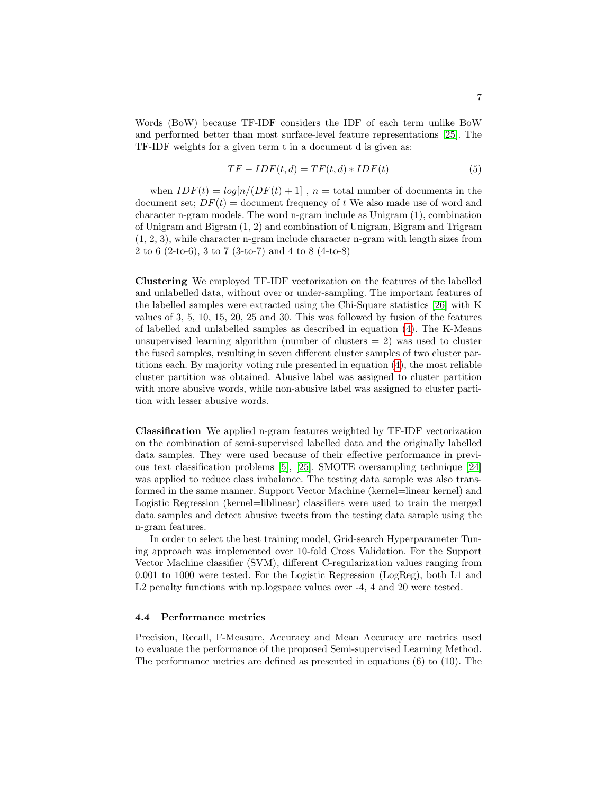Words (BoW) because TF-IDF considers the IDF of each term unlike BoW and performed better than most surface-level feature representations [25]. The TF-IDF weights for a given term t in a document d is given as:

$$
TF - IDF(t, d) = TF(t, d) * IDF(t)
$$
\n<sup>(5)</sup>

when  $IDF(t) = log[n/(DF(t) + 1]$ ,  $n =$  total number of documents in the document set;  $DF(t) =$  document frequency of t We also made use of word and character n-gram models. The word n-gram include as Unigram (1), combination of Unigram and Bigram (1, 2) and combination of Unigram, Bigram and Trigram (1, 2, 3), while character n-gram include character n-gram with length sizes from 2 to 6 (2-to-6), 3 to 7 (3-to-7) and 4 to 8 (4-to-8)

Clustering We employed TF-IDF vectorization on the features of the labelled and unlabelled data, without over or under-sampling. The important features of the labelled samples were extracted using the Chi-Square statistics [26] with K values of 3, 5, 10, 15, 20, 25 and 30. This was followed by fusion of the features of labelled and unlabelled samples as described in equation  $\overline{4}$ . The K-Means unsupervised learning algorithm (number of clusters  $= 2$ ) was used to cluster the fused samples, resulting in seven different cluster samples of two cluster partitions each. By majority voting rule presented in equation  $(4)$ , the most reliable cluster partition was obtained. Abusive label was assigned to cluster partition with more abusive words, while non-abusive label was assigned to cluster partition with lesser abusive words.

Classification We applied n-gram features weighted by TF-IDF vectorization on the combination of semi-supervised labelled data and the originally labelled data samples. They were used because of their effective performance in previous text classification problems  $\overline{5}$ ,  $\overline{25}$ . SMOTE oversampling technique  $\overline{24}$ was applied to reduce class imbalance. The testing data sample was also transformed in the same manner. Support Vector Machine (kernel=linear kernel) and Logistic Regression (kernel=liblinear) classifiers were used to train the merged data samples and detect abusive tweets from the testing data sample using the n-gram features.

In order to select the best training model, Grid-search Hyperparameter Tuning approach was implemented over 10-fold Cross Validation. For the Support Vector Machine classifier (SVM), different C-regularization values ranging from 0.001 to 1000 were tested. For the Logistic Regression (LogReg), both L1 and L2 penalty functions with np.logspace values over  $-4$ , 4 and 20 were tested.

## 4.4 Performance metrics

Precision, Recall, F-Measure, Accuracy and Mean Accuracy are metrics used to evaluate the performance of the proposed Semi-supervised Learning Method. The performance metrics are defined as presented in equations (6) to (10). The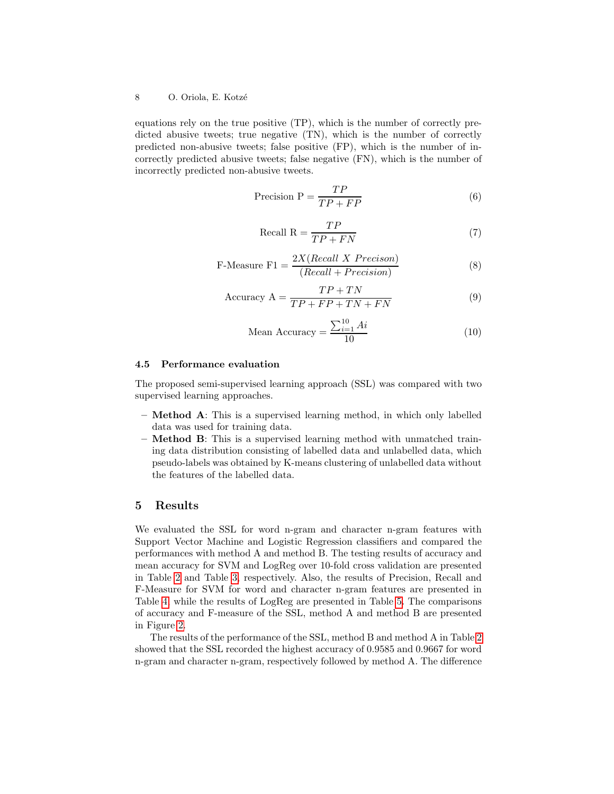equations rely on the true positive (TP), which is the number of correctly predicted abusive tweets; true negative (TN), which is the number of correctly predicted non-abusive tweets; false positive (FP), which is the number of incorrectly predicted abusive tweets; false negative (FN), which is the number of incorrectly predicted non-abusive tweets.

$$
Precision P = \frac{TP}{TP + FP}
$$
 (6)

$$
Recall R = \frac{TP}{TP + FN}
$$
\n(7)

F-Measure F1 = 
$$
\frac{2X(Recall \ X \ Precision)}{(Recall + Precision)}
$$
 (8)

$$
Accuracy A = \frac{TP + TN}{TP + FP + TN + FN}
$$
\n(9)

Mean Accuracy = 
$$
\frac{\sum_{i=1}^{10} Ai}{10}
$$
 (10)

#### 4.5 Performance evaluation

The proposed semi-supervised learning approach (SSL) was compared with two supervised learning approaches.

- Method A: This is a supervised learning method, in which only labelled data was used for training data.
- Method B: This is a supervised learning method with unmatched training data distribution consisting of labelled data and unlabelled data, which pseudo-labels was obtained by K-means clustering of unlabelled data without the features of the labelled data.

## 5 Results

We evaluated the SSL for word n-gram and character n-gram features with Support Vector Machine and Logistic Regression classifiers and compared the performances with method A and method B. The testing results of accuracy and mean accuracy for SVM and LogReg over 10-fold cross validation are presented in Table  $\boxed{2}$  and Table  $\boxed{3}$ , respectively. Also, the results of Precision, Recall and F-Measure for SVM for word and character n-gram features are presented in Table  $\overline{4}$  while the results of LogReg are presented in Table  $\overline{5}$ . The comparisons of accuracy and F-measure of the SSL, method A and method B are presented in Figure 2.

The results of the performance of the SSL, method B and method A in Table 2 showed that the SSL recorded the highest accuracy of 0.9585 and 0.9667 for word n-gram and character n-gram, respectively followed by method A. The difference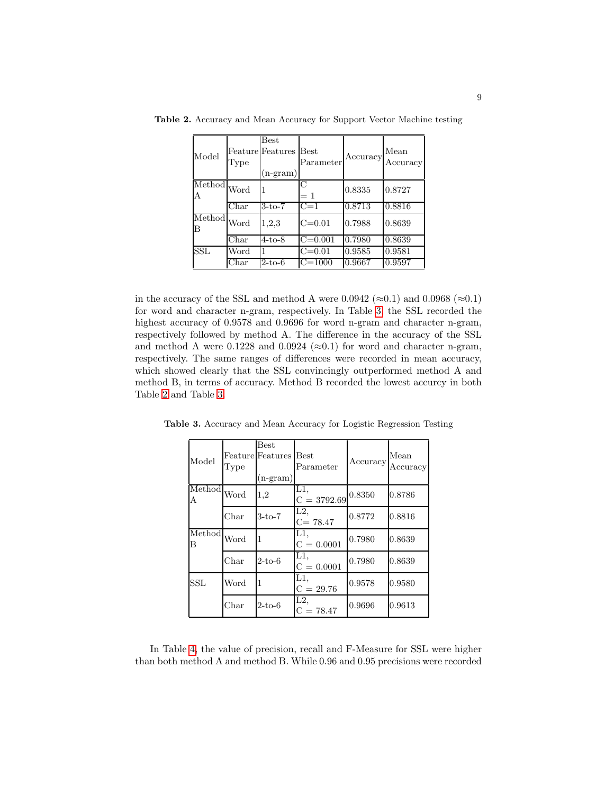| Model                                                   | Type                     | Best<br>Feature Features<br>$(n-gram)$ | <b>Best</b><br>Parameter | Accuracy | Mean<br>Accuracy |
|---------------------------------------------------------|--------------------------|----------------------------------------|--------------------------|----------|------------------|
| $\overline{\text{Method}}\text{Word}$<br>Α              |                          |                                        | C                        | 0.8335   | 0.8727           |
|                                                         | $\overline{\text{Char}}$ | $3-to-7$                               | $\overline{C}=1$         | 0.8713   | 0.8816           |
| $\overline{\text{Method}} _{\text{Word}}$<br>$_{\rm B}$ |                          | 1,2,3                                  | $C = 0.01$               | 0.7988   | 0.8639           |
|                                                         | $_{\rm Char}$            | $4-to-8$                               | $C = 0.001$              | 0.7980   | 0.8639           |
| <b>SSL</b>                                              | Word                     |                                        | $C = 0.01$               | 0.9585   | 0.9581           |
|                                                         | ${\rm Char}$             | $2-to-6$                               | $\overline{C} = 1000$    | 0.9667   | 0.9597           |

Table 2. Accuracy and Mean Accuracy for Support Vector Machine testing

in the accuracy of the SSL and method A were 0.0942 ( $\approx$ 0.1) and 0.0968 ( $\approx$ 0.1) for word and character n-gram, respectively. In Table  $\overline{3}$  the SSL recorded the highest accuracy of 0.9578 and 0.9696 for word n-gram and character n-gram, respectively followed by method A. The difference in the accuracy of the SSL and method A were 0.1228 and 0.0924 ( $\approx$ 0.1) for word and character n-gram, respectively. The same ranges of differences were recorded in mean accuracy, which showed clearly that the SSL convincingly outperformed method A and method B, in terms of accuracy. Method B recorded the lowest accurcy in both Table 2 and Table 3.

| Model                                | Type | Best<br>Feature Features Best<br>$(n-gram)$ | Parameter              | Accuracy | Mean<br>${\rm Accuracy}$ |
|--------------------------------------|------|---------------------------------------------|------------------------|----------|--------------------------|
| $\overline{\text{Method}}$ Word<br>A |      | 1,2                                         | L1.<br>$C = 3792.69$   | 0.8350   | 0.8786                   |
|                                      | Char | 3-to-7                                      | L2<br>$C = 78.47$      | 0.8772   | 0.8816                   |
| $\overline{\text{Method}}$ Word<br>В |      |                                             | $L1$ ,<br>$C = 0.0001$ | 0.7980   | 0.8639                   |
|                                      | Char | $2-to-6$                                    | L1.<br>$C = 0.0001$    | 0.7980   | 0.8639                   |
| <b>SSL</b>                           | Word | 1                                           | L1,<br>$C = 29.76$     | 0.9578   | 0.9580                   |
|                                      | Char | $2-t$ o-6                                   | $L2$ ,<br>$C = 78.47$  | 0.9696   | 0.9613                   |

Table 3. Accuracy and Mean Accuracy for Logistic Regression Testing

In Table  $\overline{4}$ , the value of precision, recall and F-Measure for SSL were higher than both method A and method B. While 0.96 and 0.95 precisions were recorded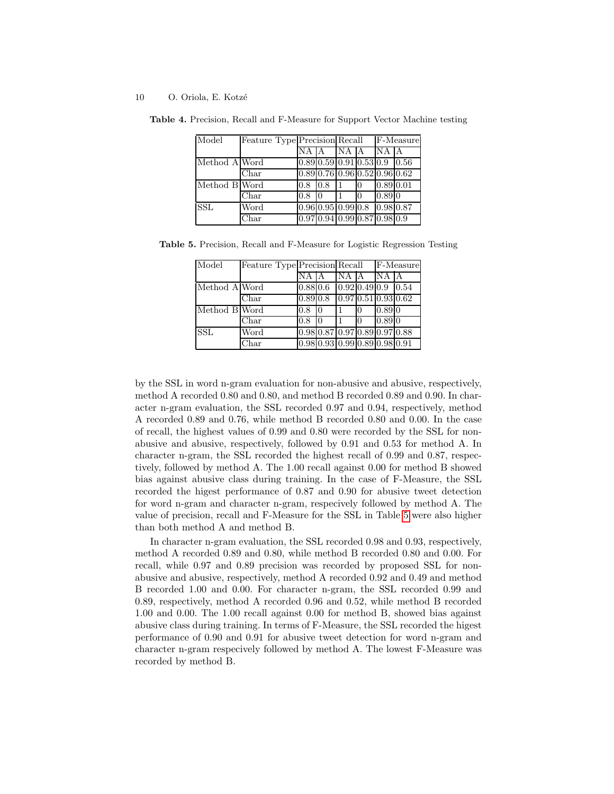| Model         | Feature Type Precision Recall |     |                                               |        |  | $F-Measure$ |      |
|---------------|-------------------------------|-----|-----------------------------------------------|--------|--|-------------|------|
|               |                               | ΝA  |                                               | INA IA |  | IN A        | IА   |
| Method A Word |                               |     | $0.89$ 0.59 0.91 0.53 0.9                     |        |  |             | 0.56 |
|               | Char                          |     | $0.89$ 0.76 0.96 0.52 0.96 0.62               |        |  |             |      |
| Method B Word |                               | 0.8 | 0.8                                           |        |  | 0.89 0.01   |      |
|               | Char                          | 0.8 | IО                                            |        |  | 0.8910      |      |
| <b>SSL</b>    | Word                          |     | $0.96 \, 0.95 \, 0.99 \, 0.8 \, 0.98 \, 0.87$ |        |  |             |      |
|               | $\bar{\mathrm{C}}$ har        |     | [0.97] 0.94 [0.99] 0.87 0.98] 0.9             |        |  |             |      |

Table 4. Precision, Recall and F-Measure for Support Vector Machine testing

Table 5. Precision, Recall and F-Measure for Logistic Regression Testing

| Model         | Feature Type Precision Recall |          |                                                |                                                  |    | F-Measure |  |
|---------------|-------------------------------|----------|------------------------------------------------|--------------------------------------------------|----|-----------|--|
|               |                               | NA       |                                                | $\overline{\text{NA}}$                           |    | <b>NA</b> |  |
| Method A Word |                               | 0.88 0.6 |                                                | $\boxed{0.92 \mid 0.49 \mid 0.9}$ $\boxed{0.54}$ |    |           |  |
|               | ${\rm Char}$                  | 0.89 0.8 |                                                | [0.97] 0.51] 0.93] 0.62                          |    |           |  |
| Method B Word |                               | 0.8      | Ю                                              |                                                  | 10 | 0.8910    |  |
|               | $\overline{\text{Char}}$      | 0.8      | IО                                             |                                                  |    | 0.8910    |  |
| <b>SSL</b>    | Word                          |          | [0.98] 0.87] 0.97] 0.89] 0.97] 0.88            |                                                  |    |           |  |
|               | ${\rm Char}$                  |          | $0.98 \, 0.93 \, 0.99 \, 0.89 \, 0.98 \, 0.91$ |                                                  |    |           |  |

by the SSL in word n-gram evaluation for non-abusive and abusive, respectively, method A recorded 0.80 and 0.80, and method B recorded 0.89 and 0.90. In character n-gram evaluation, the SSL recorded 0.97 and 0.94, respectively, method A recorded 0.89 and 0.76, while method B recorded 0.80 and 0.00. In the case of recall, the highest values of 0.99 and 0.80 were recorded by the SSL for nonabusive and abusive, respectively, followed by 0.91 and 0.53 for method A. In character n-gram, the SSL recorded the highest recall of 0.99 and 0.87, respectively, followed by method A. The 1.00 recall against 0.00 for method B showed bias against abusive class during training. In the case of F-Measure, the SSL recorded the higest performance of 0.87 and 0.90 for abusive tweet detection for word n-gram and character n-gram, respecively followed by method A. The value of precision, recall and F-Measure for the SSL in Table  $\overline{5}$  were also higher than both method A and method B.

In character n-gram evaluation, the SSL recorded 0.98 and 0.93, respectively, method A recorded 0.89 and 0.80, while method B recorded 0.80 and 0.00. For recall, while 0.97 and 0.89 precision was recorded by proposed SSL for nonabusive and abusive, respectively, method A recorded 0.92 and 0.49 and method B recorded 1.00 and 0.00. For character n-gram, the SSL recorded 0.99 and 0.89, respectively, method A recorded 0.96 and 0.52, while method B recorded 1.00 and 0.00. The 1.00 recall against 0.00 for method B, showed bias against abusive class during training. In terms of F-Measure, the SSL recorded the higest performance of 0.90 and 0.91 for abusive tweet detection for word n-gram and character n-gram respecively followed by method A. The lowest F-Measure was recorded by method B.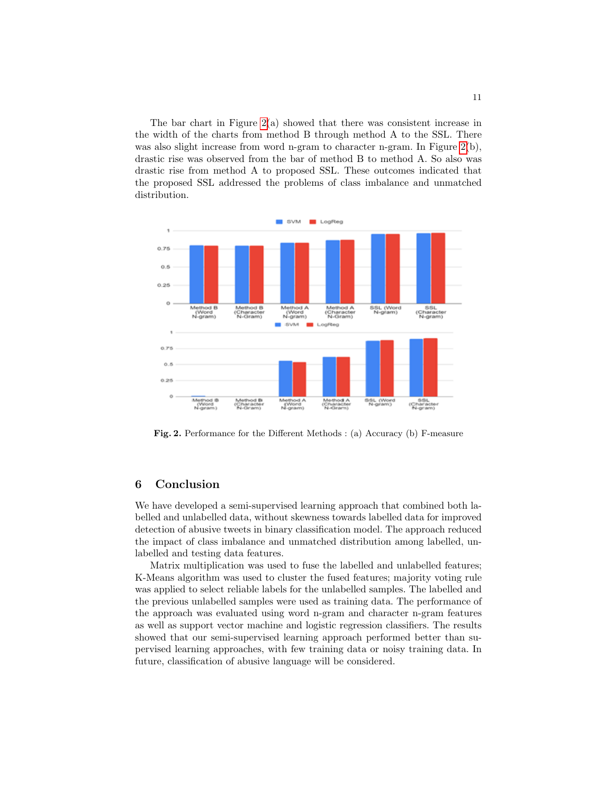The bar chart in Figure  $\sqrt{2(a)}$  showed that there was consistent increase in the width of the charts from method B through method A to the SSL. There was also slight increase from word n-gram to character n-gram. In Figure  $\boxed{2(b)}$ , drastic rise was observed from the bar of method B to method A. So also was drastic rise from method A to proposed SSL. These outcomes indicated that the proposed SSL addressed the problems of class imbalance and unmatched distribution.



Fig. 2. Performance for the Different Methods : (a) Accuracy (b) F-measure

# 6 Conclusion

We have developed a semi-supervised learning approach that combined both labelled and unlabelled data, without skewness towards labelled data for improved detection of abusive tweets in binary classification model. The approach reduced the impact of class imbalance and unmatched distribution among labelled, unlabelled and testing data features.

Matrix multiplication was used to fuse the labelled and unlabelled features; K-Means algorithm was used to cluster the fused features; majority voting rule was applied to select reliable labels for the unlabelled samples. The labelled and the previous unlabelled samples were used as training data. The performance of the approach was evaluated using word n-gram and character n-gram features as well as support vector machine and logistic regression classifiers. The results showed that our semi-supervised learning approach performed better than supervised learning approaches, with few training data or noisy training data. In future, classification of abusive language will be considered.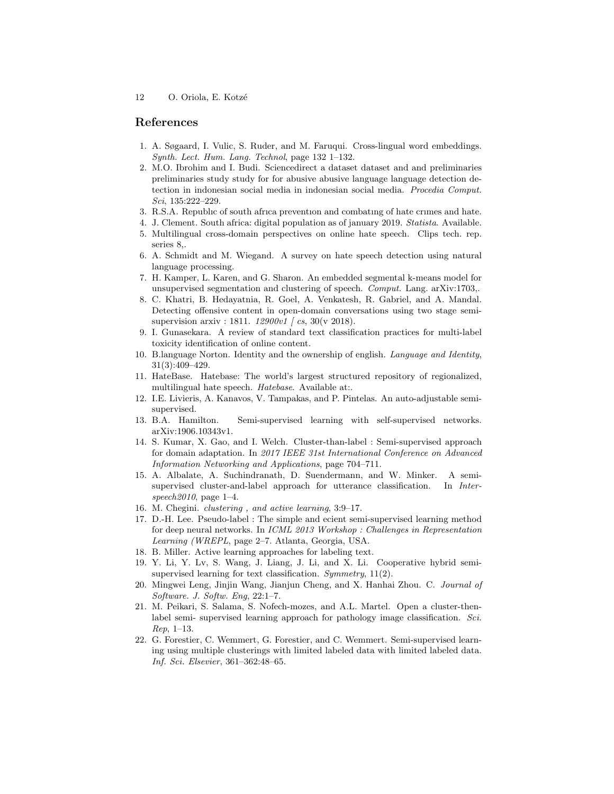# References

- 1. A. Søgaard, I. Vulic, S. Ruder, and M. Faruqui. Cross-lingual word embeddings. Synth. Lect. Hum. Lang. Technol, page 132 1–132.
- 2. M.O. Ibrohim and I. Budi. Sciencedirect a dataset dataset and and preliminaries preliminaries study study for for abusive abusive language language detection detection in indonesian social media in indonesian social media. Procedia Comput. Sci, 135:222–229.
- 3. R.S.A. Republıc of south afrıca preventıon and combatıng of hate crımes and hate.
- 4. J. Clement. South africa: digital population as of january 2019. Statista. Available. 5. Multilingual cross-domain perspectives on online hate speech. Clips tech. rep. series 8,.
- 6. A. Schmidt and M. Wiegand. A survey on hate speech detection using natural language processing.
- 7. H. Kamper, L. Karen, and G. Sharon. An embedded segmental k-means model for unsupervised segmentation and clustering of speech. Comput. Lang. arXiv:1703,.
- 8. C. Khatri, B. Hedayatnia, R. Goel, A. Venkatesh, R. Gabriel, and A. Mandal. Detecting offensive content in open-domain conversations using two stage semisupervision arxiv : 1811.  $12900v1 / cs$ , 30(v 2018).
- 9. I. Gunasekara. A review of standard text classification practices for multi-label toxicity identification of online content.
- 10. B.language Norton. Identity and the ownership of english. Language and Identity, 31(3):409–429.
- 11. HateBase. Hatebase: The world's largest structured repository of regionalized, multilingual hate speech. *Hatebase*. Available at:..
- 12. I.E. Livieris, A. Kanavos, V. Tampakas, and P. Pintelas. An auto-adjustable semisupervised.
- 13. B.A. Hamilton. Semi-supervised learning with self-supervised networks. arXiv:1906.10343v1.
- 14. S. Kumar, X. Gao, and I. Welch. Cluster-than-label : Semi-supervised approach for domain adaptation. In 2017 IEEE 31st International Conference on Advanced Information Networking and Applications, page 704–711.
- 15. A. Albalate, A. Suchindranath, D. Suendermann, and W. Minker. A semisupervised cluster-and-label approach for utterance classification. In Interspeech2010, page 1–4.
- 16. M. Chegini. clustering , and active learning, 3:9–17.
- 17. D.-H. Lee. Pseudo-label : The simple and ecient semi-supervised learning method for deep neural networks. In ICML 2013 Workshop : Challenges in Representation Learning (WREPL, page 2–7. Atlanta, Georgia, USA.
- 18. B. Miller. Active learning approaches for labeling text.
- 19. Y. Li, Y. Lv, S. Wang, J. Liang, J. Li, and X. Li. Cooperative hybrid semisupervised learning for text classification. Symmetry, 11(2).
- 20. Mingwei Leng, Jinjin Wang, Jianjun Cheng, and X. Hanhai Zhou. C. Journal of Software. J. Softw. Eng, 22:1–7.
- 21. M. Peikari, S. Salama, S. Nofech-mozes, and A.L. Martel. Open a cluster-thenlabel semi- supervised learning approach for pathology image classification. Sci. Rep, 1–13.
- 22. G. Forestier, C. Wemmert, G. Forestier, and C. Wemmert. Semi-supervised learning using multiple clusterings with limited labeled data with limited labeled data. Inf. Sci. Elsevier, 361–362:48–65.